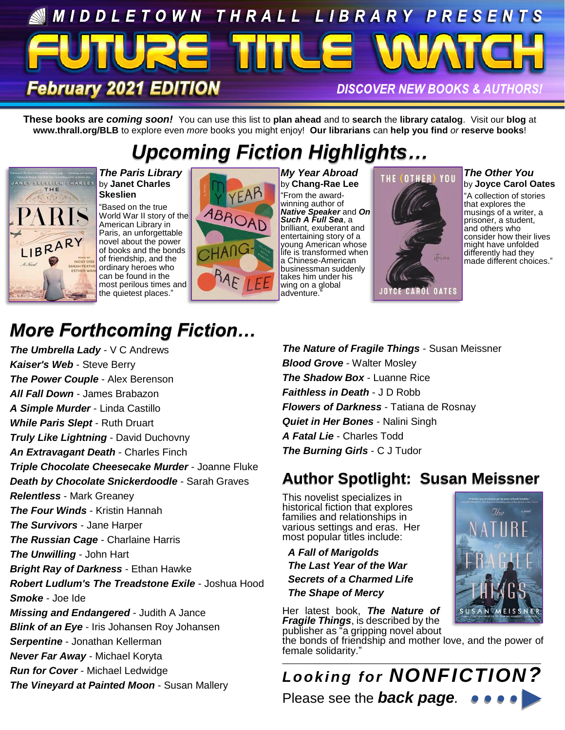# MIDDLETOWN THRALL LIBRARY PRESENTS **February 2021 EDITION DISCOVER NEW BOOKS & AUTHORS!**

**These books are** *coming soon!* You can use this list to **plan ahead** and to **search** the **library catalog**. Visit our **blog** at **www.thrall.org/BLB** to explore even *more* books you might enjoy! **Our librarians** can **help you find** *or* **reserve books**!

# *Upcoming Fiction Highlights…*



*The Paris Library* by **Janet Charles Skeslien**

"Based on the true World War II story of the American Library in Paris, an unforgettable novel about the power of books and the bonds of friendship, and the ordinary heroes who can be found in the most perilous times and the quietest places."



*My Year Abroad* by **Chang-Rae Lee** "From the awardwinning author of *Native Speaker* and *On Such A Full Sea*, a brilliant, exuberant and entertaining story of a young American whose life is transformed when a Chinese-American businessman suddenly takes him under his wing on a global adventure.



*The Other You* by **Joyce Carol Oates**

"A collection of stories that explores the musings of a writer, a prisoner, a student, and others who consider how their lives might have unfolded differently had they made different choices."

# *More Forthcoming Fiction…*

*The Umbrella Lady* - V C Andrews *Kaiser's Web* - Steve Berry *The Power Couple* - Alex Berenson *All Fall Down* - James Brabazon *A Simple Murder* - Linda Castillo *While Paris Slept* - Ruth Druart *Truly Like Lightning* - David Duchovny *An Extravagant Death* - Charles Finch *Triple Chocolate Cheesecake Murder* - Joanne Fluke *Death by Chocolate Snickerdoodle* - Sarah Graves *Relentless* - Mark Greaney *The Four Winds* - Kristin Hannah *The Survivors* - Jane Harper *The Russian Cage* - Charlaine Harris *The Unwilling* - John Hart *Bright Ray of Darkness* - Ethan Hawke *Robert Ludlum's The Treadstone Exile* - Joshua Hood *Smoke* - Joe Ide *Missing and Endangered* - Judith A Jance *Blink of an Eye* - Iris Johansen Roy Johansen *Serpentine* - Jonathan Kellerman *Never Far Away* - Michael Koryta *Run for Cover* - Michael Ledwidge *The Vineyard at Painted Moon* - Susan Mallery

*The Nature of Fragile Things* - Susan Meissner *Blood Grove* - Walter Mosley *The Shadow Box* - Luanne Rice *Faithless in Death* - J D Robb *Flowers of Darkness* - Tatiana de Rosnay *Quiet in Her Bones* - Nalini Singh *A Fatal Lie* - Charles Todd *The Burning Girls* - C J Tudor

## **Author Spotlight: Susan Meissner**

This novelist specializes in historical fiction that explores families and relationships in various settings and eras. Her most popular titles include:

 *A Fall of Marigolds The Last Year of the War Secrets of a Charmed Life The Shape of Mercy*

Her latest book, *The Nature of Fragile Things*, is described by the publisher as "a gripping novel about

the bonds of friendship and mother love, and the power of female solidarity."

\_\_\_\_\_\_\_\_\_\_\_\_\_\_\_\_\_\_\_\_\_\_\_\_\_\_\_\_\_\_\_\_\_\_\_\_\_\_\_\_\_\_\_\_\_\_\_\_\_\_\_\_\_\_\_\_ *Looking for NONFICTION?* Please see the *back page.*